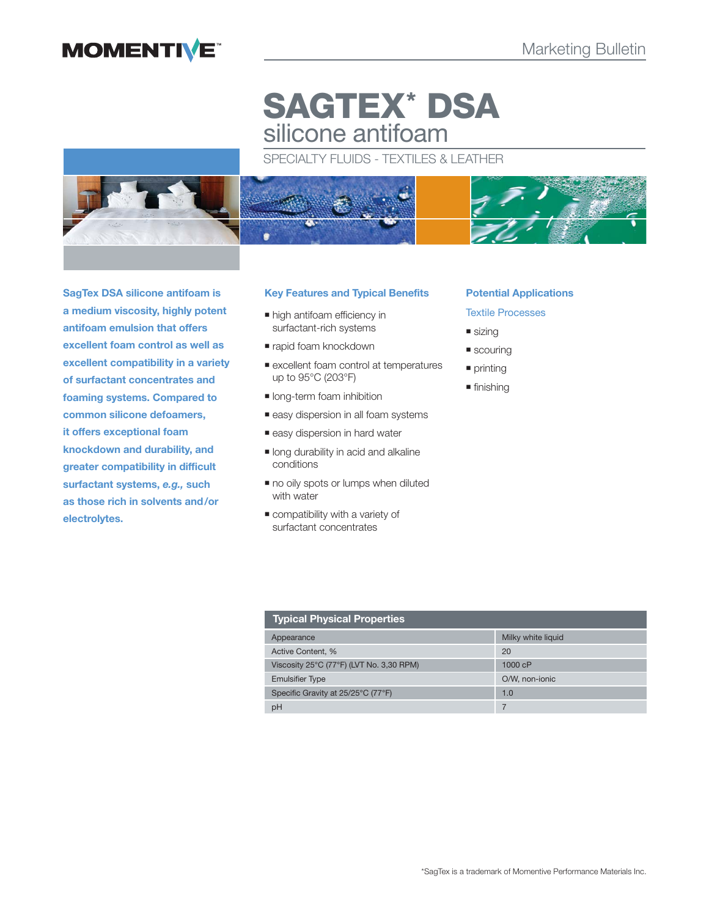# **MOMENTIVE**

# **SAGTEX\* DSA** silicone antifoam

# SPECIALTY FLUIDS - TEXTILES & LEATHER



**SagTex DSA silicone antifoam is a medium viscosity, highly potent antifoam emulsion that offers excellent foam control as well as excellent compatibility in a variety of surfactant concentrates and foaming systems. Compared to common silicone defoamers, it offers exceptional foam knockdown and durability, and greater compatibility in difficult surfactant systems,** *e.g.,* **such as those rich in solvents and/or electrolytes.**

# **Key Features and Typical Benefits**

- $\blacksquare$  high antifoam efficiency in surfactant-rich systems
- rapid foam knockdown
- excellent foam control at temperatures up to 95°C (203°F)
- **India** long-term foam inhibition
- easy dispersion in all foam systems
- easy dispersion in hard water
- **Iong durability in acid and alkaline** conditions
- $\blacksquare$  no oily spots or lumps when diluted with water
- compatibility with a variety of surfactant concentrates

## **Potential Applications**

# Textile Processes

- sizing
- scouring
- **printing**
- **finishing**

| <b>Typical Physical Properties</b>       |                    |  |
|------------------------------------------|--------------------|--|
| Appearance                               | Milky white liquid |  |
| Active Content, %                        | 20                 |  |
| Viscosity 25°C (77°F) (LVT No. 3,30 RPM) | 1000cP             |  |
| <b>Emulsifier Type</b>                   | O/W, non-ionic     |  |
| Specific Gravity at 25/25°C (77°F)       | 1.0                |  |
| рH                                       |                    |  |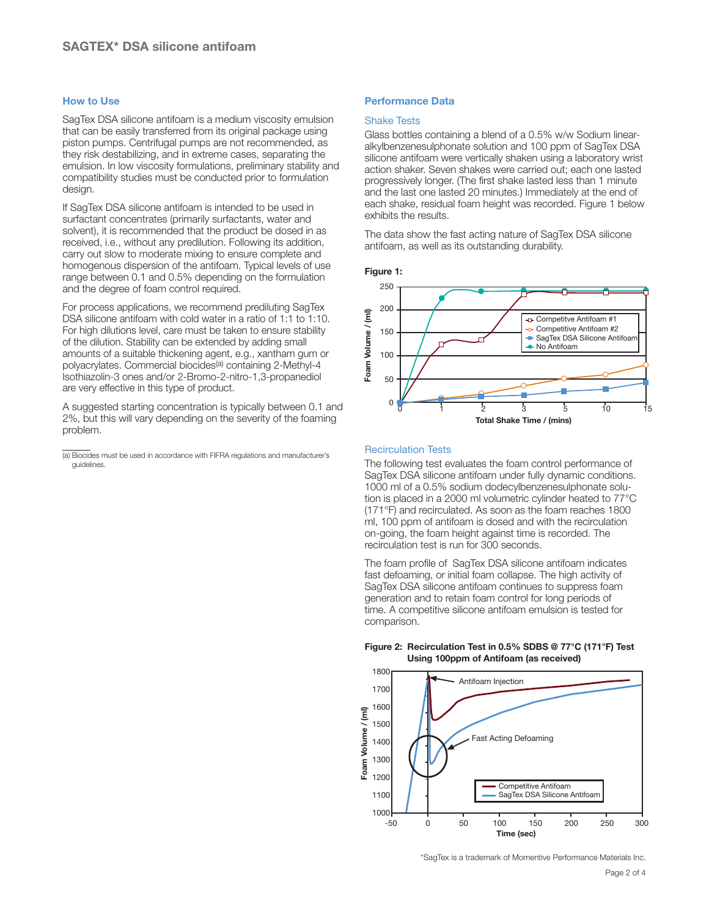## **How to Use**

SagTex DSA silicone antifoam is a medium viscosity emulsion that can be easily transferred from its original package using piston pumps. Centrifugal pumps are not recommended, as they risk destabilizing, and in extreme cases, separating the emulsion. In low viscosity formulations, preliminary stability and compatibility studies must be conducted prior to formulation design.

If SagTex DSA silicone antifoam is intended to be used in surfactant concentrates (primarily surfactants, water and solvent), it is recommended that the product be dosed in as received, i.e., without any predilution. Following its addition, carry out slow to moderate mixing to ensure complete and homogenous dispersion of the antifoam. Typical levels of use range between 0.1 and 0.5% depending on the formulation and the degree of foam control required.

For process applications, we recommend prediluting SagTex DSA silicone antifoam with cold water in a ratio of 1:1 to 1:10. For high dilutions level, care must be taken to ensure stability of the dilution. Stability can be extended by adding small amounts of a suitable thickening agent, e.g., xantham gum or polyacrylates. Commercial biocides(a) containing 2-Methyl-4 Isothiazolin-3 ones and/or 2-Bromo-2-nitro-1,3-propanediol are very effective in this type of product.

A suggested starting concentration is typically between 0.1 and 2%, but this will vary depending on the severity of the foaming problem.

(a) Biocides must be used in accordance with FIFRA regulations and manufacturer's guidelines.

# **Performance Data**

### Shake Tests

Glass bottles containing a blend of a 0.5% w/w Sodium linearalkylbenzenesulphonate solution and 100 ppm of SagTex DSA silicone antifoam were vertically shaken using a laboratory wrist action shaker. Seven shakes were carried out; each one lasted progressively longer. (The first shake lasted less than 1 minute and the last one lasted 20 minutes.) Immediately at the end of each shake, residual foam height was recorded. Figure 1 below exhibits the results.

The data show the fast acting nature of SagTex DSA silicone antifoam, as well as its outstanding durability.

**Figure 1:** 



#### Recirculation Tests

The following test evaluates the foam control performance of SagTex DSA silicone antifoam under fully dynamic conditions. 1000 ml of a 0.5% sodium dodecylbenzenesulphonate solution is placed in a 2000 ml volumetric cylinder heated to 77°C (171°F) and recirculated. As soon as the foam reaches 1800 ml, 100 ppm of antifoam is dosed and with the recirculation on-going, the foam height against time is recorded. The recirculation test is run for 300 seconds.

The foam profile of SagTex DSA silicone antifoam indicates fast defoaming, or initial foam collapse. The high activity of SagTex DSA silicone antifoam continues to suppress foam generation and to retain foam control for long periods of time. A competitive silicone antifoam emulsion is tested for comparison.



#### **Figure 2: Recirculation Test in 0.5% SDBS @ 77°C (171°F) Test Using 100ppm of Antifoam (as received)**

\*SagTex is a trademark of Momentive Performance Materials Inc.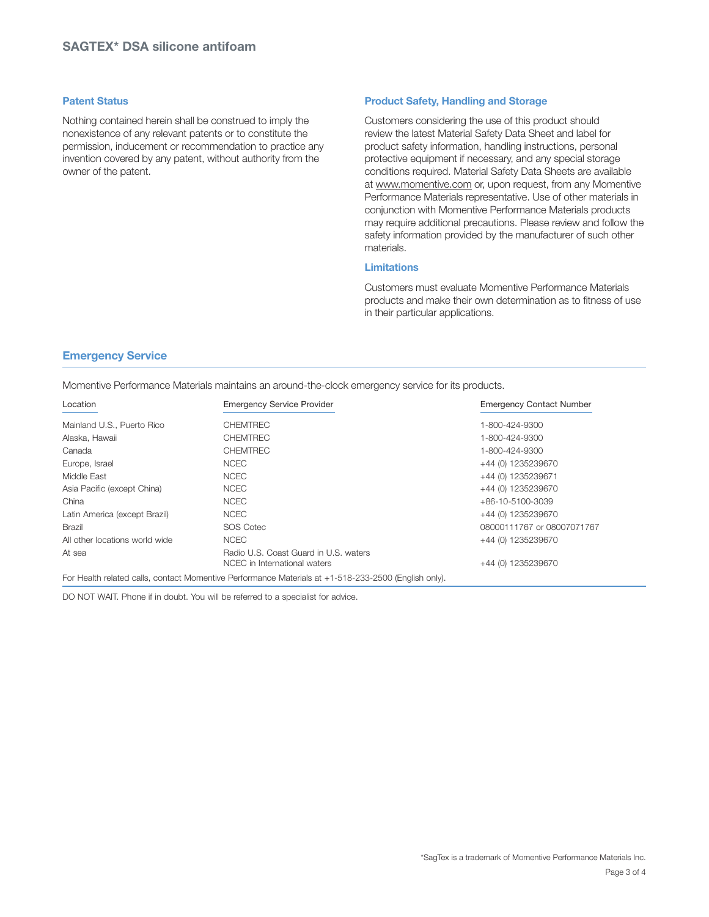## **Patent Status**

Nothing contained herein shall be construed to imply the nonexistence of any relevant patents or to constitute the permission, inducement or recommendation to practice any invention covered by any patent, without authority from the owner of the patent.

# **Product Safety, Handling and Storage**

Customers considering the use of this product should review the latest Material Safety Data Sheet and label for product safety information, handling instructions, personal protective equipment if necessary, and any special storage conditions required. Material Safety Data Sheets are available at www.momentive.com or, upon request, from any Momentive Performance Materials representative. Use of other materials in conjunction with Momentive Performance Materials products may require additional precautions. Please review and follow the safety information provided by the manufacturer of such other materials.

# **Limitations**

Customers must evaluate Momentive Performance Materials products and make their own determination as to fitness of use in their particular applications.

# **Emergency Service**

Momentive Performance Materials maintains an around-the-clock emergency service for its products.

| Location                       | <b>Emergency Service Provider</b>                                                                    | <b>Emergency Contact Number</b> |
|--------------------------------|------------------------------------------------------------------------------------------------------|---------------------------------|
| Mainland U.S., Puerto Rico     | <b>CHEMTREC</b>                                                                                      | 1-800-424-9300                  |
| Alaska, Hawaii                 | <b>CHEMTREC</b>                                                                                      | 1-800-424-9300                  |
| Canada                         | <b>CHEMTREC</b>                                                                                      | 1-800-424-9300                  |
| Europe, Israel                 | <b>NCEC</b>                                                                                          | +44 (0) 1235239670              |
| Middle East                    | <b>NCEC</b>                                                                                          | +44 (0) 1235239671              |
| Asia Pacific (except China)    | <b>NCEC</b>                                                                                          | +44 (0) 1235239670              |
| China                          | <b>NCEC</b>                                                                                          | $+86-10-5100-3039$              |
| Latin America (except Brazil)  | <b>NCEC</b>                                                                                          | +44 (0) 1235239670              |
| Brazil                         | SOS Cotec                                                                                            | 08000111767 or 08007071767      |
| All other locations world wide | <b>NCEC</b>                                                                                          | +44 (0) 1235239670              |
| At sea                         | Radio U.S. Coast Guard in U.S. waters<br>NCEC in International waters                                | +44 (0) 1235239670              |
|                                | For Health related calls, contact Momentive Performance Materials at +1-518-233-2500 (English only). |                                 |

DO NOT WAIT. Phone if in doubt. You will be referred to a specialist for advice.